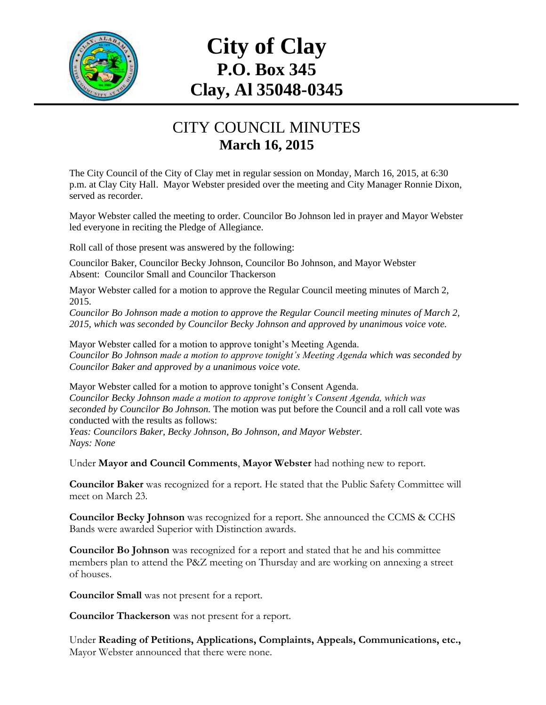

## **City of Clay P.O. Box 345 Clay, Al 35048-0345**

## CITY COUNCIL MINUTES **March 16, 2015**

The City Council of the City of Clay met in regular session on Monday, March 16, 2015, at 6:30 p.m. at Clay City Hall. Mayor Webster presided over the meeting and City Manager Ronnie Dixon, served as recorder.

Mayor Webster called the meeting to order. Councilor Bo Johnson led in prayer and Mayor Webster led everyone in reciting the Pledge of Allegiance.

Roll call of those present was answered by the following:

Councilor Baker, Councilor Becky Johnson, Councilor Bo Johnson, and Mayor Webster Absent: Councilor Small and Councilor Thackerson

Mayor Webster called for a motion to approve the Regular Council meeting minutes of March 2, 2015.

*Councilor Bo Johnson made a motion to approve the Regular Council meeting minutes of March 2, 2015, which was seconded by Councilor Becky Johnson and approved by unanimous voice vote.*

Mayor Webster called for a motion to approve tonight's Meeting Agenda. *Councilor Bo Johnson made a motion to approve tonight's Meeting Agenda which was seconded by Councilor Baker and approved by a unanimous voice vote.*

Mayor Webster called for a motion to approve tonight's Consent Agenda. *Councilor Becky Johnson made a motion to approve tonight's Consent Agenda, which was seconded by Councilor Bo Johnson.* The motion was put before the Council and a roll call vote was conducted with the results as follows:

*Yeas: Councilors Baker, Becky Johnson, Bo Johnson, and Mayor Webster. Nays: None*

Under **Mayor and Council Comments**, **Mayor Webster** had nothing new to report.

**Councilor Baker** was recognized for a report. He stated that the Public Safety Committee will meet on March 23.

**Councilor Becky Johnson** was recognized for a report. She announced the CCMS & CCHS Bands were awarded Superior with Distinction awards.

**Councilor Bo Johnson** was recognized for a report and stated that he and his committee members plan to attend the P&Z meeting on Thursday and are working on annexing a street of houses.

**Councilor Small** was not present for a report.

**Councilor Thackerson** was not present for a report.

Under **Reading of Petitions, Applications, Complaints, Appeals, Communications, etc.,** Mayor Webster announced that there were none.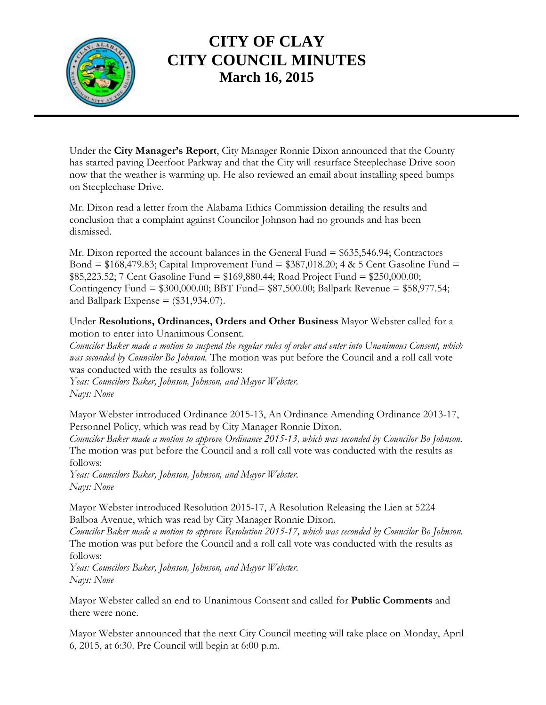

## **CITY OF CLAY CITY COUNCIL MINUTES March 16, 2015**

Under the **City Manager's Report**, City Manager Ronnie Dixon announced that the County has started paving Deerfoot Parkway and that the City will resurface Steeplechase Drive soon now that the weather is warming up. He also reviewed an email about installing speed bumps on Steeplechase Drive.

Mr. Dixon read a letter from the Alabama Ethics Commission detailing the results and conclusion that a complaint against Councilor Johnson had no grounds and has been dismissed.

Mr. Dixon reported the account balances in the General Fund = \$635,546.94; Contractors Bond = \$168,479.83; Capital Improvement Fund = \$387,018.20; 4 & 5 Cent Gasoline Fund = \$85,223.52; 7 Cent Gasoline Fund = \$169,880.44; Road Project Fund = \$250,000.00; Contingency Fund = \$300,000.00; BBT Fund= \$87,500.00; Ballpark Revenue = \$58,977.54; and Ballpark Expense  $=$  (\$31,934.07).

Under **Resolutions, Ordinances, Orders and Other Business** Mayor Webster called for a motion to enter into Unanimous Consent.

*Councilor Baker made a motion to suspend the regular rules of order and enter into Unanimous Consent, which was seconded by Councilor Bo Johnson.* The motion was put before the Council and a roll call vote was conducted with the results as follows:

*Yeas: Councilors Baker, Johnson, Johnson, and Mayor Webster. Nays: None*

Mayor Webster introduced Ordinance 2015-13, An Ordinance Amending Ordinance 2013-17, Personnel Policy, which was read by City Manager Ronnie Dixon.

*Councilor Baker made a motion to approve Ordinance 2015-13, which was seconded by Councilor Bo Johnson.*  The motion was put before the Council and a roll call vote was conducted with the results as follows:

*Yeas: Councilors Baker, Johnson, Johnson, and Mayor Webster. Nays: None*

Mayor Webster introduced Resolution 2015-17, A Resolution Releasing the Lien at 5224 Balboa Avenue, which was read by City Manager Ronnie Dixon.

*Councilor Baker made a motion to approve Resolution 2015-17, which was seconded by Councilor Bo Johnson.*  The motion was put before the Council and a roll call vote was conducted with the results as follows:

*Yeas: Councilors Baker, Johnson, Johnson, and Mayor Webster. Nays: None*

Mayor Webster called an end to Unanimous Consent and called for **Public Comments** and there were none.

Mayor Webster announced that the next City Council meeting will take place on Monday, April 6, 2015, at 6:30. Pre Council will begin at 6:00 p.m.